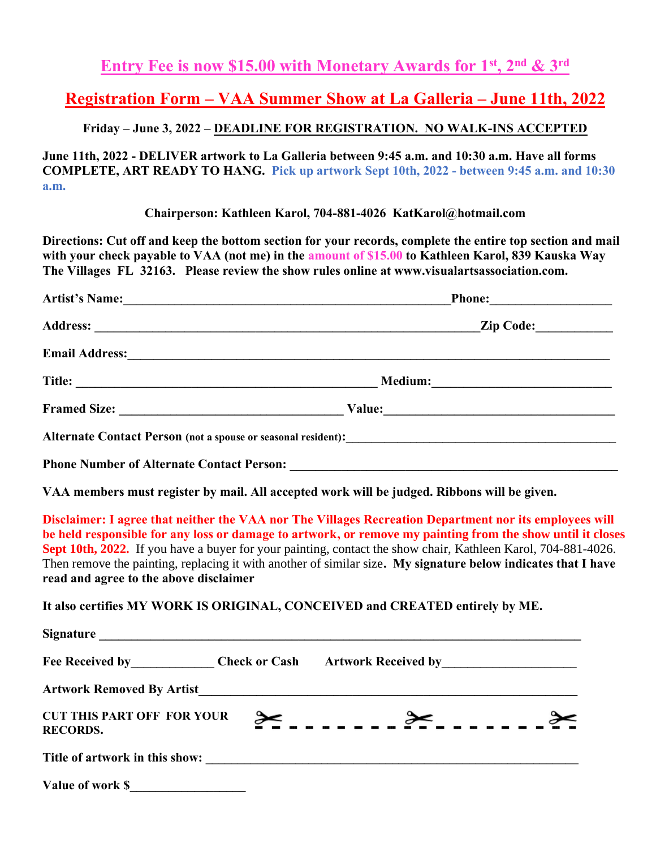### **Entry Fee is now \$15.00 with Monetary Awards for 1st, 2nd & 3rd**

# **Registration Form – VAA Summer Show at La Galleria – June 11th, 2022**

#### **Friday – June 3, 2022 – DEADLINE FOR REGISTRATION. NO WALK-INS ACCEPTED**

**June 11th, 2022 - DELIVER artwork to La Galleria between 9:45 a.m. and 10:30 a.m. Have all forms COMPLETE, ART READY TO HANG. Pick up artwork Sept 10th, 2022 - between 9:45 a.m. and 10:30 a.m.** 

**Chairperson: Kathleen Karol, 704-881-4026 KatKarol@hotmail.com**

**Directions: Cut off and keep the bottom section for your records, complete the entire top section and mail with your check payable to VAA (not me) in the amount of \$15.00 to Kathleen Karol, 839 Kauska Way The Villages FL 32163. Please review the show rules online at www.visualartsassociation.com.**

| Artist's Name:                                   | Phone: _________________                                                                                                                                                                                                       |  |
|--------------------------------------------------|--------------------------------------------------------------------------------------------------------------------------------------------------------------------------------------------------------------------------------|--|
|                                                  | Zip Code:                                                                                                                                                                                                                      |  |
|                                                  | Email Address: No. 1996. The Contract of the Contract of the Contract of the Contract of the Contract of the Contract of the Contract of the Contract of the Contract of the Contract of the Contract of the Contract of the C |  |
|                                                  |                                                                                                                                                                                                                                |  |
|                                                  |                                                                                                                                                                                                                                |  |
|                                                  |                                                                                                                                                                                                                                |  |
| <b>Phone Number of Alternate Contact Person:</b> |                                                                                                                                                                                                                                |  |

**VAA members must register by mail. All accepted work will be judged. Ribbons will be given.**

**Disclaimer: I agree that neither the VAA nor The Villages Recreation Department nor its employees will be held responsible for any loss or damage to artwork, or remove my painting from the show until it closes Sept 10th, 2022.** If you have a buyer for your painting, contact the show chair, Kathleen Karol, 704-881-4026. Then remove the painting, replacing it with another of similar size**. My signature below indicates that I have read and agree to the above disclaimer**

**It also certifies MY WORK IS ORIGINAL, CONCEIVED and CREATED entirely by ME.**

| Fee Received by _______________ Check or Cash Artwork Received by ______________ |  |  |
|----------------------------------------------------------------------------------|--|--|
|                                                                                  |  |  |
| <b>CUT THIS PART OFF FOR YOUR</b><br><b>RECORDS.</b>                             |  |  |
|                                                                                  |  |  |
| Value of work \$                                                                 |  |  |